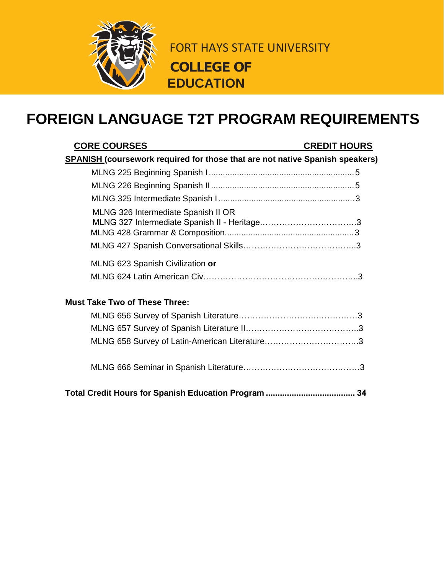

FORT HAYS STATE UNIVERSITY **COLLEGE OF EDUCATION**

## **FOREIGN LANGUAGE T2T PROGRAM REQUIREMENTS**

| <b>CORE COURSES</b>                                                                 | <b>CREDIT HOURS</b> |
|-------------------------------------------------------------------------------------|---------------------|
| <b>SPANISH (coursework required for those that are not native Spanish speakers)</b> |                     |
|                                                                                     |                     |
|                                                                                     |                     |
|                                                                                     |                     |
| MLNG 326 Intermediate Spanish II OR                                                 |                     |
|                                                                                     |                     |
| MLNG 623 Spanish Civilization or                                                    |                     |
|                                                                                     |                     |
| <b>Must Take Two of These Three:</b>                                                |                     |
|                                                                                     |                     |
|                                                                                     |                     |
| MLNG 658 Survey of Latin-American Literature3                                       |                     |
|                                                                                     |                     |
|                                                                                     |                     |